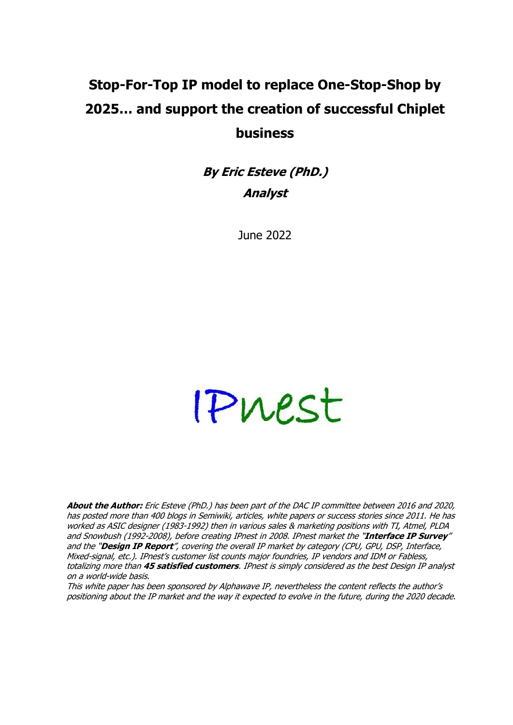# **Stop-For-Top IP model to replace One-Stop-Shop by 2025… and support the creation of successful Chiplet business**

**By Eric Esteve (PhD.) Analyst**

June 2022

# Pruest

**About the Author:** Eric Esteve (PhD.) has been part of the DAC IP committee between 2016 and 2020, has posted more than 400 blogs in Semiwiki, articles, white papers or success stories since 2011. He has worked as ASIC designer (1983-1992) then in various sales & marketing positions with TI, Atmel, PLDA and Snowbush (1992-2008), before creating IPnest in 2008. IPnest market the "**Interface IP Survey**" and the "**Design IP Report**", covering the overall IP market by category (CPU, GPU, DSP, Interface, Mixed-signal, etc.). IPnest's customer list counts major foundries, IP vendors and IDM or Fabless, totalizing more than **45 satisfied customers**. IPnest is simply considered as the best Design IP analyst on a world-wide basis.

This white paper has been sponsored by Alphawave IP, nevertheless the content reflects the author's positioning about the IP market and the way it expected to evolve in the future, during the 2020 decade.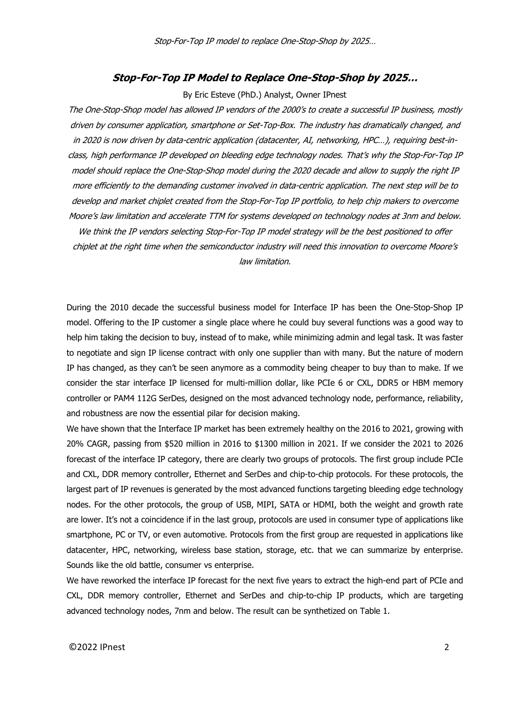# **Stop-For-Top IP Model to Replace One-Stop-Shop by 2025…**

#### By Eric Esteve (PhD.) Analyst, Owner IPnest

The One-Stop-Shop model has allowed IP vendors of the 2000's to create a successful IP business, mostly driven by consumer application, smartphone or Set-Top-Box. The industry has dramatically changed, and in 2020 is now driven by data-centric application (datacenter, AI, networking, HPC…), requiring best-inclass, high performance IP developed on bleeding edge technology nodes. That's why the Stop-For-Top IP model should replace the One-Stop-Shop model during the 2020 decade and allow to supply the right IP more efficiently to the demanding customer involved in data-centric application. The next step will be to develop and market chiplet created from the Stop-For-Top IP portfolio, to help chip makers to overcome Moore's law limitation and accelerate TTM for systems developed on technology nodes at 3nm and below. We think the IP vendors selecting Stop-For-Top IP model strategy will be the best positioned to offer chiplet at the right time when the semiconductor industry will need this innovation to overcome Moore's law limitation.

During the 2010 decade the successful business model for Interface IP has been the One-Stop-Shop IP model. Offering to the IP customer a single place where he could buy several functions was a good way to help him taking the decision to buy, instead of to make, while minimizing admin and legal task. It was faster to negotiate and sign IP license contract with only one supplier than with many. But the nature of modern IP has changed, as they can't be seen anymore as a commodity being cheaper to buy than to make. If we consider the star interface IP licensed for multi-million dollar, like PCIe 6 or CXL, DDR5 or HBM memory controller or PAM4 112G SerDes, designed on the most advanced technology node, performance, reliability, and robustness are now the essential pilar for decision making.

We have shown that the Interface IP market has been extremely healthy on the 2016 to 2021, growing with 20% CAGR, passing from \$520 million in 2016 to \$1300 million in 2021. If we consider the 2021 to 2026 forecast of the interface IP category, there are clearly two groups of protocols. The first group include PCIe and CXL, DDR memory controller, Ethernet and SerDes and chip-to-chip protocols. For these protocols, the largest part of IP revenues is generated by the most advanced functions targeting bleeding edge technology nodes. For the other protocols, the group of USB, MIPI, SATA or HDMI, both the weight and growth rate are lower. It's not a coincidence if in the last group, protocols are used in consumer type of applications like smartphone, PC or TV, or even automotive. Protocols from the first group are requested in applications like datacenter, HPC, networking, wireless base station, storage, etc. that we can summarize by enterprise. Sounds like the old battle, consumer vs enterprise.

We have reworked the interface IP forecast for the next five years to extract the high-end part of PCIe and CXL, DDR memory controller, Ethernet and SerDes and chip-to-chip IP products, which are targeting advanced technology nodes, 7nm and below. The result can be synthetized on Table 1.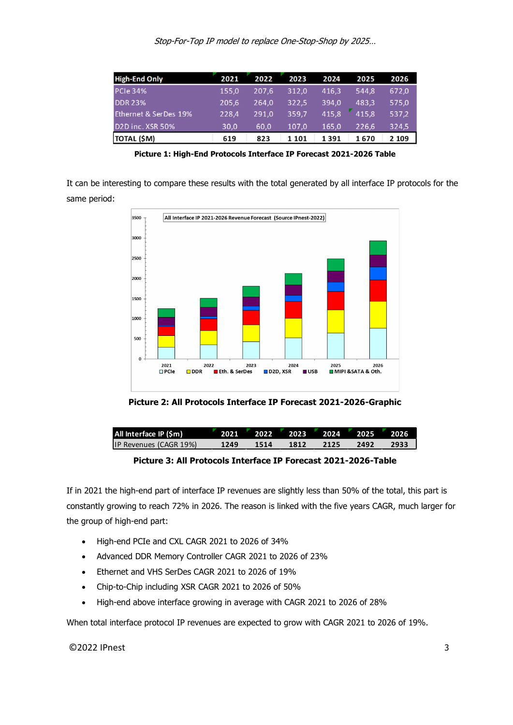Stop-For-Top IP model to replace One-Stop-Shop by 2025…

| <b>High-End Only</b>          | 2021  | 2022  | 2023  | 2024  | 2025  | 2026    |
|-------------------------------|-------|-------|-------|-------|-------|---------|
| <b>PCIe 34%</b>               | 155,0 | 207.6 | 312,0 | 416,3 | 544.8 | 672,0   |
| <b>DDR 23%</b>                | 205,6 | 264.0 | 322,5 | 394.0 | 483.3 | 575,0   |
| Ethernet & SerDes 19%         | 228,4 | 291.0 | 359.7 | 415.8 | 415.8 | 537,2   |
| D <sub>2</sub> D inc. XSR 50% | 30.0  | 60.0  | 107.0 | 165.0 | 226.6 | 324.5   |
| TOTAL (\$M)                   | 619   | 823   | 1 101 | 1391  | 1670  | 2 1 0 9 |

**Picture 1: High-End Protocols Interface IP Forecast 2021-2026 Table**

It can be interesting to compare these results with the total generated by all interface IP protocols for the same period:



**Picture 2: All Protocols Interface IP Forecast 2021-2026-Graphic**

| All Interface IP (Sm)         |      | 2021 2022 2023 2024 2025 2026 |      |      |      |      |
|-------------------------------|------|-------------------------------|------|------|------|------|
| <b>IP Revenues (CAGR 19%)</b> | 1249 | 1514                          | 1812 | 2125 | 2492 | 2933 |

**Picture 3: All Protocols Interface IP Forecast 2021-2026-Table**

If in 2021 the high-end part of interface IP revenues are slightly less than 50% of the total, this part is constantly growing to reach 72% in 2026. The reason is linked with the five years CAGR, much larger for the group of high-end part:

- High-end PCIe and CXL CAGR 2021 to 2026 of 34%
- Advanced DDR Memory Controller CAGR 2021 to 2026 of 23%
- Ethernet and VHS SerDes CAGR 2021 to 2026 of 19%
- Chip-to-Chip including XSR CAGR 2021 to 2026 of 50%
- High-end above interface growing in average with CAGR 2021 to 2026 of 28%

When total interface protocol IP revenues are expected to grow with CAGR 2021 to 2026 of 19%.

 $\bigcirc$ 2022 IPnest 3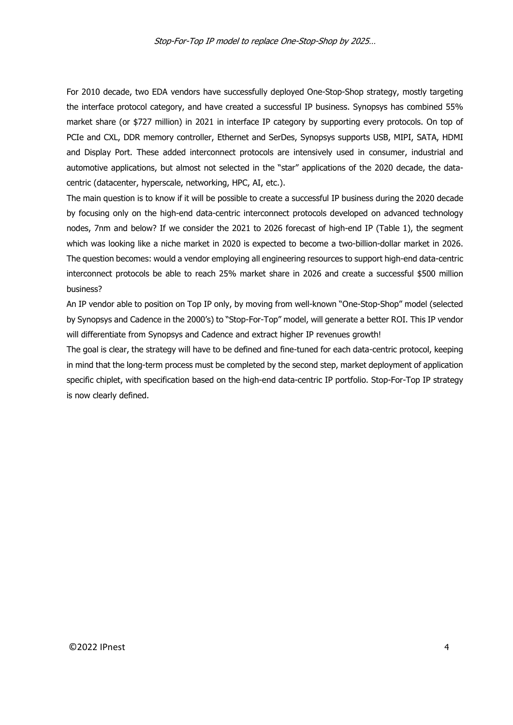For 2010 decade, two EDA vendors have successfully deployed One-Stop-Shop strategy, mostly targeting the interface protocol category, and have created a successful IP business. Synopsys has combined 55% market share (or \$727 million) in 2021 in interface IP category by supporting every protocols. On top of PCIe and CXL, DDR memory controller, Ethernet and SerDes, Synopsys supports USB, MIPI, SATA, HDMI and Display Port. These added interconnect protocols are intensively used in consumer, industrial and automotive applications, but almost not selected in the "star" applications of the 2020 decade, the data centric (datacenter, hyperscale, networking, HPC, AI, etc.).

The main question is to know if it will be possible to create a successful IP business during the 2020 decade by focusing only on the high-end data-centric interconnect protocols developed on advanced technology nodes, 7nm and below? If we consider the 2021 to 2026 forecast of high-end IP (Table 1), the segment which was looking like a niche market in 2020 is expected to become a two-billion-dollar market in 2026. The question becomes: would a vendor employing all engineering resources to support high-end data-centric interconnect protocols be able to reach 25% market share in 2026 and create a successful \$500 million business?

An IP vendor able to position on Top IP only, by moving from well-known "One-Stop-Shop" model (selected by Synopsys and Cadence in the 2000's) to "Stop-For-Top" model, will generate a better ROI. This IP vendor will differentiate from Synopsys and Cadence and extract higher IP revenues growth!

The goal is clear, the strategy will have to be defined and fine-tuned for each data-centric protocol, keeping in mind that the long-term process must be completed by the second step, market deployment of application specific chiplet, with specification based on the high-end data-centric IP portfolio. Stop-For-Top IP strategy is now clearly defined.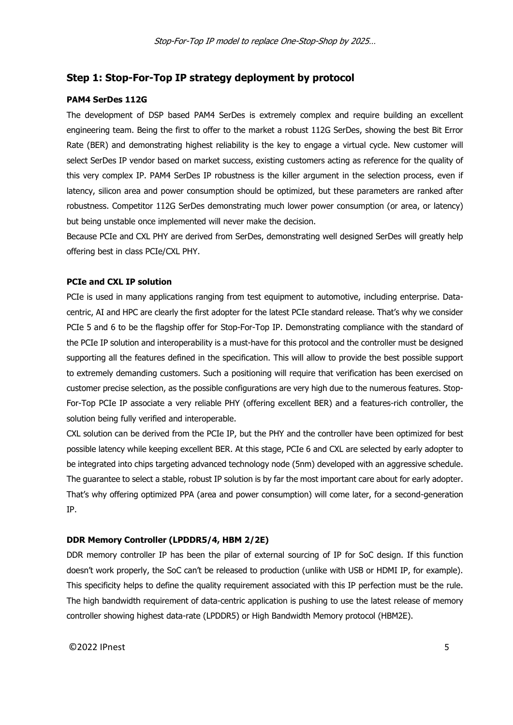# **Step 1: Stop-For-Top IP strategy deployment by protocol**

## **PAM4 SerDes 112G**

The development of DSP based PAM4 SerDes is extremely complex and require building an excellent engineering team. Being the first to offer to the market a robust 112G SerDes, showing the best Bit Error Rate (BER) and demonstrating highest reliability is the key to engage a virtual cycle. New customer will select SerDes IP vendor based on market success, existing customers acting as reference for the quality of this very complex IP. PAM4 SerDes IP robustness is the killer argument in the selection process, even if latency, silicon area and power consumption should be optimized, but these parameters are ranked after robustness. Competitor 112G SerDes demonstrating much lower power consumption (or area, or latency) but being unstable once implemented will never make the decision.

Because PCIe and CXL PHY are derived from SerDes, demonstrating well designed SerDes will greatly help offering best in class PCIe/CXL PHY.

# **PCIe and CXL IP solution**

PCIe is used in many applications ranging from test equipment to automotive, including enterprise. Data centric, AI and HPC are clearly the first adopter for the latest PCIe standard release. That's why we consider PCIe 5 and 6 to be the flagship offer for Stop-For-Top IP. Demonstrating compliance with the standard of the PCIe IP solution and interoperability is a must-have for this protocol and the controller must be designed supporting all the features defined in the specification. This will allow to provide the best possible support to extremely demanding customers. Such a positioning will require that verification has been exercised on customer precise selection, as the possible configurations are very high due to the numerous features. Stop- For-Top PCIe IP associate a very reliable PHY (offering excellent BER) and a features-rich controller, the solution being fully verified and interoperable.

CXL solution can be derived from the PCIe IP, but the PHY and the controller have been optimized for best possible latency while keeping excellent BER. At this stage, PCIe 6 and CXL are selected by early adopter to be integrated into chips targeting advanced technology node (5nm) developed with an aggressive schedule. The guarantee to select a stable, robust IP solution is by far the most important care about for early adopter. That's why offering optimized PPA (area and power consumption) will come later, for a second-generation IP.

#### **DDR Memory Controller (LPDDR5/4, HBM 2/2E)**

DDR memory controller IP has been the pilar of external sourcing of IP for SoC design. If this function doesn't work properly, the SoC can't be released to production (unlike with USB or HDMI IP, for example). This specificity helps to define the quality requirement associated with this IP perfection must be the rule. The high bandwidth requirement of data-centric application is pushing to use the latest release of memory controller showing highest data-rate (LPDDR5) or High Bandwidth Memory protocol (HBM2E).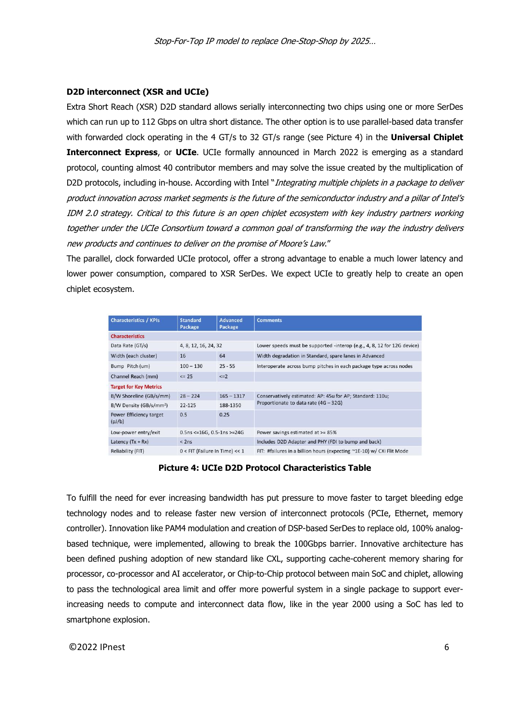#### **D2D interconnect (XSR and UCIe)**

Extra Short Reach (XSR) D2D standard allows serially interconnecting two chips using one or more SerDes which can run up to 112 Gbps on ultra short distance. The other option is to use parallel-based data transfer with forwarded clock operating in the 4 GT/s to 32 GT/s range (see Picture 4) in the **Universal Chiplet Interconnect Express**, or **UCIe**. UCIe formally announced in March 2022 is emerging as a standard protocol, counting almost 40 contributor members and may solve the issue created by the multiplication of D2D protocols, including in-house. According with Intel "Integrating multiple chiplets in a package to deliver product innovation across market segments is the future of the semiconductor industry and a pillar of Intel's IDM 2.0 strategy. Critical to this future is an open chiplet ecosystem with key industry partners working together under the UCIe Consortium toward a common goal of transforming the way the industry delivers new products and continues to deliver on the promise of Moore's Law."

The parallel, clock forwarded UCIe protocol, offer a strong advantage to enable a much lower latency and lower power consumption, compared to XSR SerDes. We expect UCIe to greatly help to create an open chiplet ecosystem.

| <b>Characteristics / KPIs</b>       | <b>Standard</b><br>Package       | <b>Advanced</b><br>Package | <b>Comments</b>                                                         |  |  |  |
|-------------------------------------|----------------------------------|----------------------------|-------------------------------------------------------------------------|--|--|--|
| <b>Characteristics</b>              |                                  |                            |                                                                         |  |  |  |
| Data Rate (GT/s)                    | 4, 8, 12, 16, 24, 32             |                            | Lower speeds must be supported -interop (e.g., 4, 8, 12 for 12G device) |  |  |  |
| Width (each cluster)                | 16                               | 64                         | Width degradation in Standard, spare lanes in Advanced                  |  |  |  |
| Bump Pitch (um)                     | $100 - 130$                      | $25 - 55$                  | Interoperate across bump pitches in each package type across nodes      |  |  |  |
| Channel Reach (mm)                  | $\leq$ 25                        | $\leq$ =2                  |                                                                         |  |  |  |
| <b>Target for Key Metrics</b>       |                                  |                            |                                                                         |  |  |  |
| B/W Shoreline (GB/s/mm)             | $28 - 224$                       | $165 - 1317$               | Conservatively estimated: AP: 45u for AP; Standard: 110u;               |  |  |  |
| B/W Density (GB/s/mm <sup>2</sup> ) | $22 - 125$                       | 188-1350                   | Proportionate to data rate (4G - 32G)                                   |  |  |  |
| Power Efficiency target<br>(pJ/b)   | 0.5                              | 0.25                       |                                                                         |  |  |  |
| Low-power entry/exit                | $0.5$ ns <=16G, 0.5-1ns >=24G    |                            | Power savings estimated at >= 85%                                       |  |  |  |
| Latency $(Tx + Rx)$                 | $<$ 2ns                          |                            | Includes D2D Adapter and PHY (FDI to bump and back)                     |  |  |  |
| Reliability (FIT)                   | $0$ < FIT (Failure In Time) << 1 |                            | FIT: #failures in a billion hours (expecting ~1E-10) w/ CXi Flit Mode   |  |  |  |

#### **Picture 4: UCIe D2D Protocol Characteristics Table**

To fulfill the need for ever increasing bandwidth has put pressure to move faster to target bleeding edge technology nodes and to release faster new version of interconnect protocols (PCIe, Ethernet, memory controller). Innovation like PAM4 modulation and creation of DSP-based SerDes to replace old, 100% analog based technique, were implemented, allowing to break the 100Gbps barrier. Innovative architecture has been defined pushing adoption of new standard like CXL, supporting cache-coherent memory sharing for processor, co-processor and AI accelerator, or Chip-to-Chip protocol between main SoC and chiplet, allowing to pass the technological area limit and offer more powerful system in a single package to support everincreasing needs to compute and interconnect data flow, like in the year 2000 using a SoC has led to smartphone explosion.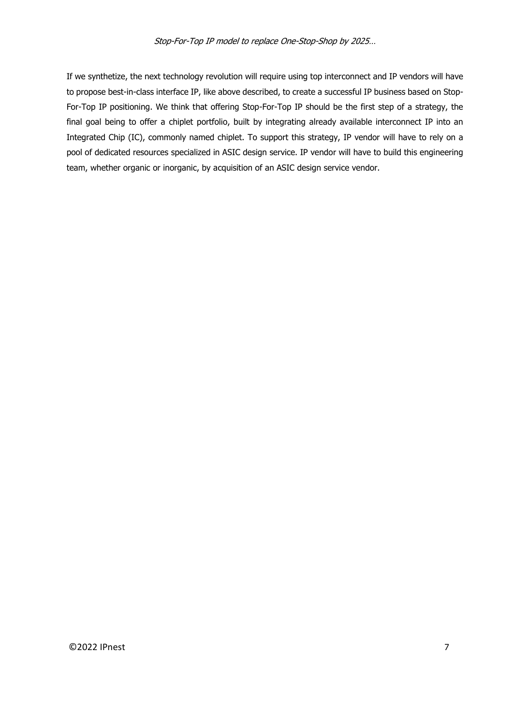If we synthetize, the next technology revolution will require using top interconnect and IP vendors will have to propose best-in-class interface IP, like above described, to create a successful IP business based on Stop- For-Top IP positioning. We think that offering Stop-For-Top IP should be the first step of a strategy, the final goal being to offer a chiplet portfolio, built by integrating already available interconnect IP into an Integrated Chip (IC), commonly named chiplet. To support this strategy, IP vendor will have to rely on a pool of dedicated resources specialized in ASIC design service. IP vendor will have to build this engineering team, whether organic or inorganic, by acquisition of an ASIC design service vendor.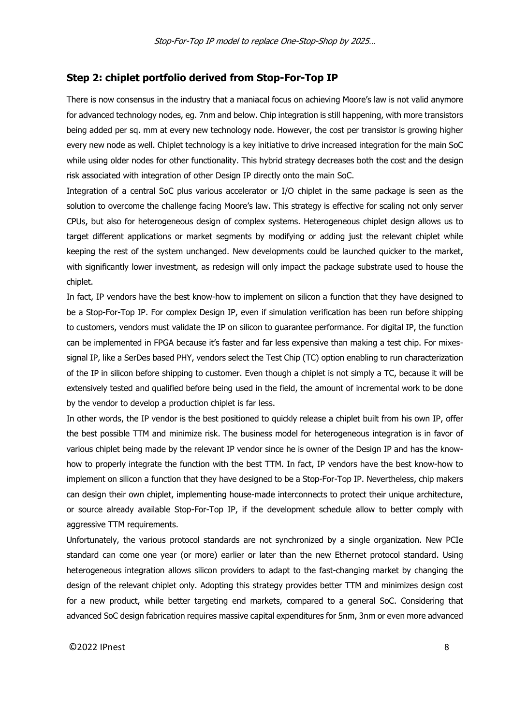### **Step 2: chiplet portfolio derived from Stop-For-Top IP**

There is now consensus in the industry that a maniacal focus on achieving Moore's law is not valid anymore for advanced technology nodes, eg. 7nm and below. Chip integration is still happening, with more transistors being added per sq. mm at every new technology node. However, the cost per transistor is growing higher every new node as well. Chiplet technology is a key initiative to drive increased integration for the main SoC while using older nodes for other functionality. This hybrid strategy decreases both the cost and the design risk associated with integration of other Design IP directly onto the main SoC.

Integration of a central SoC plus various accelerator or I/O chiplet in the same package is seen as the solution to overcome the challenge facing Moore's law. This strategy is effective for scaling not only server CPUs, but also for heterogeneous design of complex systems. Heterogeneous chiplet design allows us to target different applications or market segments by modifying or adding just the relevant chiplet while keeping the rest of the system unchanged. New developments could be launched quicker to the market, with significantly lower investment, as redesign will only impact the package substrate used to house the chiplet.

In fact, IP vendors have the best know-how to implement on silicon a function that they have designed to be a Stop-For-Top IP. For complex Design IP, even if simulation verification has been run before shipping to customers, vendors must validate the IP on silicon to guarantee performance. For digital IP, the function can be implemented in FPGA because it's faster and far less expensive than making a test chip. For mixes signal IP, like a SerDes based PHY, vendors select the Test Chip (TC) option enabling to run characterization of the IP in silicon before shipping to customer. Even though a chiplet is not simply a TC, because it will be extensively tested and qualified before being used in the field, the amount of incremental work to be done by the vendor to develop a production chiplet is far less.

In other words, the IP vendor is the best positioned to quickly release a chiplet built from his own IP, offer the best possible TTM and minimize risk. The business model for heterogeneous integration is in favor of various chiplet being made by the relevant IP vendor since he is owner of the Design IP and has the know how to properly integrate the function with the best TTM. In fact, IP vendors have the best know-how to implement on silicon a function that they have designed to be a Stop-For-Top IP. Nevertheless, chip makers can design their own chiplet, implementing house-made interconnects to protect their unique architecture, or source already available Stop-For-Top IP, if the development schedule allow to better comply with aggressive TTM requirements.

Unfortunately, the various protocol standards are not synchronized by a single organization. New PCIe standard can come one year (or more) earlier or later than the new Ethernet protocol standard. Using heterogeneous integration allows silicon providers to adapt to the fast-changing market by changing the design of the relevant chiplet only. Adopting this strategy provides better TTM and minimizes design cost for a new product, while better targeting end markets, compared to a general SoC. Considering that advanced SoC design fabrication requires massive capital expenditures for 5nm, 3nm or even more advanced